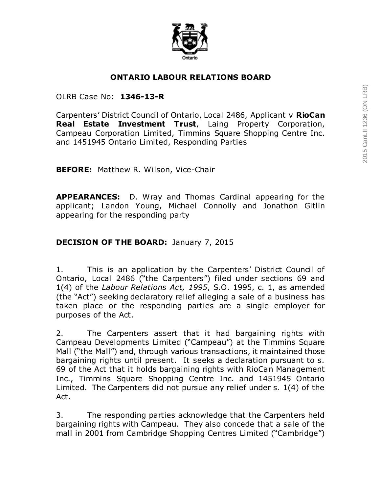

## **ONTARIO LABOUR RELATIONS BOARD**

### OLRB Case No: **1346-13-R**

Carpenters' District Council of Ontario, Local 2486, Applicant v **RioCan Real Estate Investment Trust**, Laing Property Corporation, Campeau Corporation Limited, Timmins Square Shopping Centre Inc. and 1451945 Ontario Limited, Responding Parties

**BEFORE:** Matthew R. Wilson, Vice-Chair

**APPEARANCES:** D. Wray and Thomas Cardinal appearing for the applicant; Landon Young, Michael Connolly and Jonathon Gitlin appearing for the responding party

## **DECISION OF THE BOARD:** January 7, 2015

1. This is an application by the Carpenters' District Council of Ontario, Local 2486 ("the Carpenters") filed under sections 69 and 1(4) of the *Labour Relations Act, 1995*, S.O. 1995, c. 1, as amended (the "Act") seeking declaratory relief alleging a sale of a business has taken place or the responding parties are a single employer for purposes of the Act.

2. The Carpenters assert that it had bargaining rights with Campeau Developments Limited ("Campeau") at the Timmins Square Mall ("the Mall") and, through various transactions, it maintained those bargaining rights until present. It seeks a declaration pursuant to s. 69 of the Act that it holds bargaining rights with RioCan Management Inc., Timmins Square Shopping Centre Inc. and 1451945 Ontario Limited. The Carpenters did not pursue any relief under s. 1(4) of the Act.

3. The responding parties acknowledge that the Carpenters held bargaining rights with Campeau. They also concede that a sale of the mall in 2001 from Cambridge Shopping Centres Limited ("Cambridge")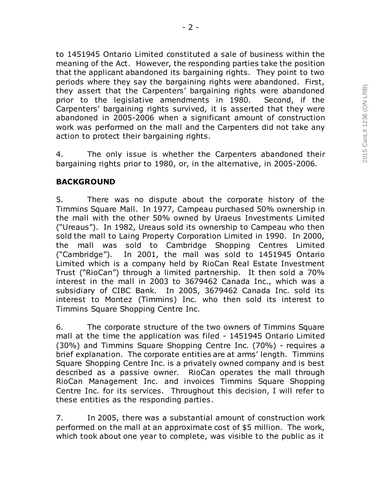to 1451945 Ontario Limited constituted a sale of business within the meaning of the Act. However, the responding parties take the position that the applicant abandoned its bargaining rights. They point to two periods where they say the bargaining rights were abandoned. First, they assert that the Carpenters' bargaining rights were abandoned prior to the legislative amendments in 1980. Second, if the Carpenters' bargaining rights survived, it is asserted that they were abandoned in 2005-2006 when a significant amount of construction work was performed on the mall and the Carpenters did not take any action to protect their bargaining rights.

4. The only issue is whether the Carpenters abandoned their bargaining rights prior to 1980, or, in the alternative, in 2005-2006.

## **BACKGROUND**

5. There was no dispute about the corporate history of the Timmins Square Mall. In 1977, Campeau purchased 50% ownership in the mall with the other 50% owned by Uraeus Investments Limited ("Ureaus"). In 1982, Ureaus sold its ownership to Campeau who then sold the mall to Laing Property Corporation Limited in 1990. In 2000, the mall was sold to Cambridge Shopping Centres Limited ("Cambridge"). In 2001, the mall was sold to 1451945 Ontario Limited which is a company held by RioCan Real Estate Investment Trust ("RioCan") through a limited partnership. It then sold a 70% interest in the mall in 2003 to 3679462 Canada Inc., which was a subsidiary of CIBC Bank. In 2005, 3679462 Canada Inc. sold its interest to Montez (Timmins) Inc. who then sold its interest to Timmins Square Shopping Centre Inc.

6. The corporate structure of the two owners of Timmins Square mall at the time the application was filed - 1451945 Ontario Limited (30%) and Timmins Square Shopping Centre Inc. (70%) - requires a brief explanation. The corporate entities are at arms' length. Timmins Square Shopping Centre Inc. is a privately owned company and is best described as a passive owner. RioCan operates the mall through RioCan Management Inc. and invoices Timmins Square Shopping Centre Inc. for its services. Throughout this decision, I will refer to these entities as the responding parties.

7. In 2005, there was a substantial amount of construction work performed on the mall at an approximate cost of \$5 million. The work, which took about one year to complete, was visible to the public as it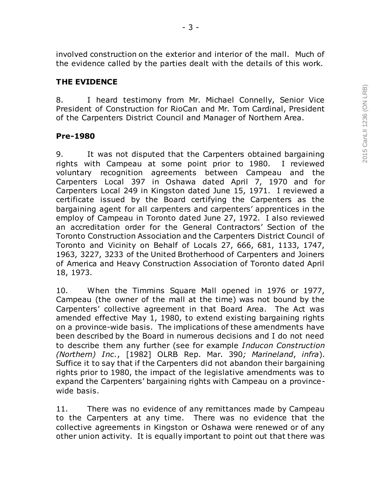involved construction on the exterior and interior of the mall. Much of the evidence called by the parties dealt with the details of this work.

## **THE EVIDENCE**

8. I heard testimony from Mr. Michael Connelly, Senior Vice President of Construction for RioCan and Mr. Tom Cardinal, President of the Carpenters District Council and Manager of Northern Area.

### **Pre-1980**

9. It was not disputed that the Carpenters obtained bargaining rights with Campeau at some point prior to 1980. I reviewed voluntary recognition agreements between Campeau and the Carpenters Local 397 in Oshawa dated April 7, 1970 and for Carpenters Local 249 in Kingston dated June 15, 1971. I reviewed a certificate issued by the Board certifying the Carpenters as the bargaining agent for all carpenters and carpenters' apprentices in the employ of Campeau in Toronto dated June 27, 1972. I also reviewed an accreditation order for the General Contractors' Section of the Toronto Construction Association and the Carpenters District Council of Toronto and Vicinity on Behalf of Locals 27, 666, 681, 1133, 1747, 1963, 3227, 3233 of the United Brotherhood of Carpenters and Joiners of America and Heavy Construction Association of Toronto dated April 18, 1973.

10. When the Timmins Square Mall opened in 1976 or 1977, Campeau (the owner of the mall at the time) was not bound by the Carpenters' collective agreement in that Board Area. The Act was amended effective May 1, 1980, to extend existing bargaining rights on a province-wide basis. The implications of these amendments have been described by the Board in numerous decisions and I do not need to describe them any further (see for example *Inducon Construction (Northern) Inc.*, [1982] OLRB Rep. Mar. 390*; Marineland*, *infra*). Suffice it to say that if the Carpenters did not abandon their bargaining rights prior to 1980, the impact of the legislative amendments was to expand the Carpenters' bargaining rights with Campeau on a provincewide basis.

11. There was no evidence of any remittances made by Campeau to the Carpenters at any time. There was no evidence that the collective agreements in Kingston or Oshawa were renewed or of any other union activity. It is equally important to point out that there was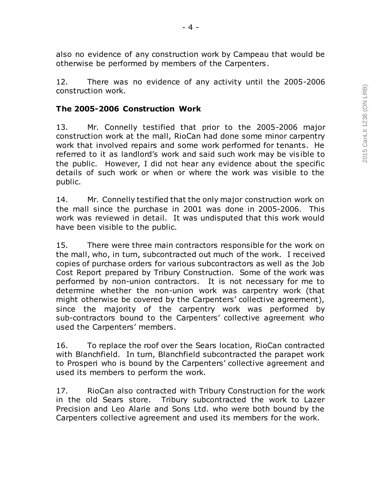12. There was no evidence of any activity until the 2005-2006 construction work.

otherwise be performed by members of the Carpenters.

# **The 2005-2006 Construction Work**

13. Mr. Connelly testified that prior to the 2005-2006 major construction work at the mall, RioCan had done some minor carpentry work that involved repairs and some work performed for tenants. He referred to it as landlord's work and said such work may be visible to the public. However, I did not hear any evidence about the specific details of such work or when or where the work was visible to the public.

14. Mr. Connelly testified that the only major construction work on the mall since the purchase in 2001 was done in 2005-2006. This work was reviewed in detail. It was undisputed that this work would have been visible to the public.

15. There were three main contractors responsible for the work on the mall, who, in turn, subcontracted out much of the work. I received copies of purchase orders for various subcontractors as well as the Job Cost Report prepared by Tribury Construction. Some of the work was performed by non-union contractors. It is not necessary for me to determine whether the non-union work was carpentry work (that might otherwise be covered by the Carpenters' collective agreement), since the majority of the carpentry work was performed by sub-contractors bound to the Carpenters' collective agreement who used the Carpenters' members.

16. To replace the roof over the Sears location, RioCan contracted with Blanchfield. In turn, Blanchfield subcontracted the parapet work to Prosperi who is bound by the Carpenters' collective agreement and used its members to perform the work.

17. RioCan also contracted with Tribury Construction for the work in the old Sears store. Tribury subcontracted the work to Lazer Precision and Leo Alarie and Sons Ltd. who were both bound by the Carpenters collective agreement and used its members for the work.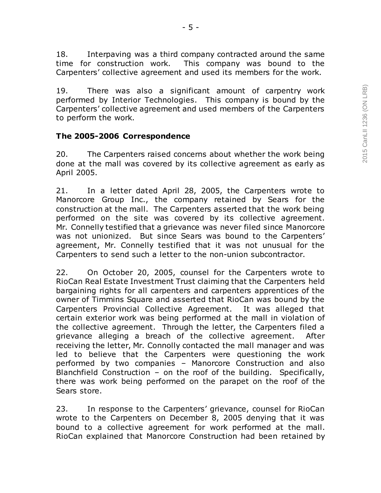18. Interpaving was a third company contracted around the same time for construction work. This company was bound to the Carpenters' collective agreement and used its members for the work.

19. There was also a significant amount of carpentry work performed by Interior Technologies. This company is bound by the Carpenters' collective agreement and used members of the Carpenters to perform the work.

#### **The 2005-2006 Correspondence**

20. The Carpenters raised concerns about whether the work being done at the mall was covered by its collective agreement as early as April 2005.

21. In a letter dated April 28, 2005, the Carpenters wrote to Manorcore Group Inc., the company retained by Sears for the construction at the mall. The Carpenters asserted that the work being performed on the site was covered by its collective agreement. Mr. Connelly testified that a grievance was never filed since Manorcore was not unionized. But since Sears was bound to the Carpenters' agreement, Mr. Connelly testified that it was not unusual for the Carpenters to send such a letter to the non-union subcontractor.

22. On October 20, 2005, counsel for the Carpenters wrote to RioCan Real Estate Investment Trust claiming that the Carpenters held bargaining rights for all carpenters and carpenters apprentices of the owner of Timmins Square and asserted that RioCan was bound by the Carpenters Provincial Collective Agreement. It was alleged that certain exterior work was being performed at the mall in violation of the collective agreement. Through the letter, the Carpenters filed a grievance alleging a breach of the collective agreement. After receiving the letter, Mr. Connolly contacted the mall manager and was led to believe that the Carpenters were questioning the work performed by two companies – Manorcore Construction and also Blanchfield Construction – on the roof of the building. Specifically, there was work being performed on the parapet on the roof of the Sears store.

23. In response to the Carpenters' grievance, counsel for RioCan wrote to the Carpenters on December 8, 2005 denying that it was bound to a collective agreement for work performed at the mall. RioCan explained that Manorcore Construction had been retained by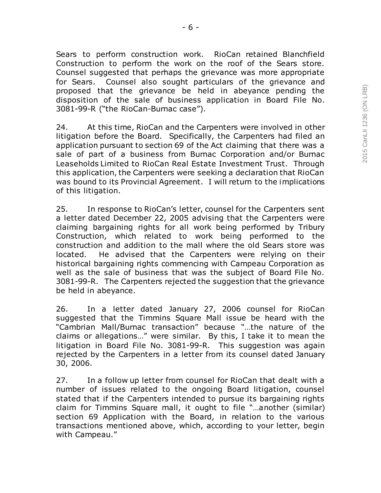Sears to perform construction work. RioCan retained Blanchfield Construction to perform the work on the roof of the Sears store. Counsel suggested that perhaps the grievance was more appropriate for Sears. Counsel also sought particulars of the grievance and proposed that the grievance be held in abeyance pending the disposition of the sale of business application in Board File No. 3081-99-R ("the RioCan-Burnac case").

24. At this time, RioCan and the Carpenters were involved in other litigation before the Board. Specifically, the Carpenters had filed an application pursuant to section 69 of the Act claiming that there was a sale of part of a business from Burnac Corporation and/or Burnac Leaseholds Limited to RioCan Real Estate Investment Trust. Through this application, the Carpenters were seeking a declaration that RioCan was bound to its Provincial Agreement. I will return to the implications of this litigation.

25. In response to RioCan's letter, counsel for the Carpenters sent a letter dated December 22, 2005 advising that the Carpenters were claiming bargaining rights for all work being performed by Tribury Construction, which related to work being performed to the construction and addition to the mall where the old Sears store was located. He advised that the Carpenters were relying on their historical bargaining rights commencing with Campeau Corporation as well as the sale of business that was the subject of Board File No. 3081-99-R. The Carpenters rejected the suggestion that the grievance be held in abeyance.

26. In a letter dated January 27, 2006 counsel for RioCan suggested that the Timmins Square Mall issue be heard with the "Cambrian Mall/Burnac transaction" because "…the nature of the claims or allegations…" were similar. By this, I take it to mean the litigation in Board File No. 3081-99-R. This suggestion was again rejected by the Carpenters in a letter from its counsel dated January 30, 2006.

27. In a follow up letter from counsel for RioCan that dealt with a number of issues related to the ongoing Board litigation, counsel stated that if the Carpenters intended to pursue its bargaining rights claim for Timmins Square mall, it ought to file "…another (similar) section 69 Application with the Board, in relation to the various transactions mentioned above, which, according to your letter, begin with Campeau."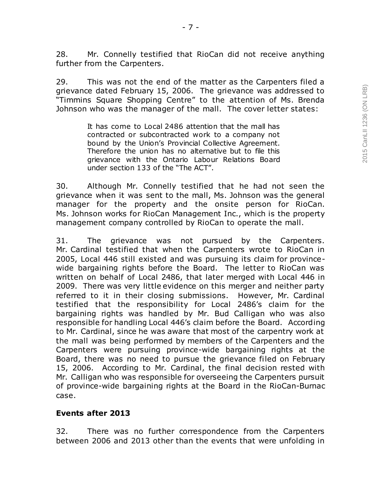28. Mr. Connelly testified that RioCan did not receive anything further from the Carpenters.

- 7 -

29. This was not the end of the matter as the Carpenters filed a grievance dated February 15, 2006. The grievance was addressed to "Timmins Square Shopping Centre" to the attention of Ms. Brenda Johnson who was the manager of the mall. The cover letter states:

> It has come to Local 2486 attention that the mall has contracted or subcontracted work to a company not bound by the Union's Provincial Collective Agreement. Therefore the union has no alternative but to file this grievance with the Ontario Labour Relations Board under section 133 of the "The ACT".

30. Although Mr. Connelly testified that he had not seen the grievance when it was sent to the mall, Ms. Johnson was the general manager for the property and the onsite person for RioCan. Ms. Johnson works for RioCan Management Inc., which is the property management company controlled by RioCan to operate the mall.

31. The grievance was not pursued by the Carpenters. Mr. Cardinal testified that when the Carpenters wrote to RioCan in 2005, Local 446 still existed and was pursuing its claim for provincewide bargaining rights before the Board. The letter to RioCan was written on behalf of Local 2486, that later merged with Local 446 in 2009. There was very little evidence on this merger and neither party referred to it in their closing submissions. However, Mr. Cardinal testified that the responsibility for Local 2486's claim for the bargaining rights was handled by Mr. Bud Calligan who was also responsible for handling Local 446's claim before the Board. According to Mr. Cardinal, since he was aware that most of the carpentry work at the mall was being performed by members of the Carpenters and the Carpenters were pursuing province-wide bargaining rights at the Board, there was no need to pursue the grievance filed on February 15, 2006. According to Mr. Cardinal, the final decision rested with Mr. Calligan who was responsible for overseeing the Carpenters pursuit of province-wide bargaining rights at the Board in the RioCan-Burnac case.

### **Events after 2013**

32. There was no further correspondence from the Carpenters between 2006 and 2013 other than the events that were unfolding in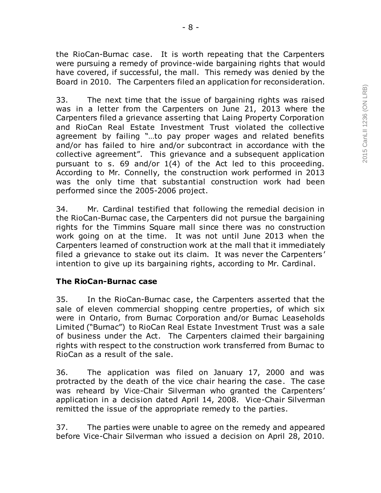the RioCan-Burnac case. It is worth repeating that the Carpenters were pursuing a remedy of province-wide bargaining rights that would have covered, if successful, the mall. This remedy was denied by the Board in 2010. The Carpenters filed an application for reconsideration.

33. The next time that the issue of bargaining rights was raised was in a letter from the Carpenters on June 21, 2013 where the Carpenters filed a grievance asserting that Laing Property Corporation and RioCan Real Estate Investment Trust violated the collective agreement by failing "…to pay proper wages and related benefits and/or has failed to hire and/or subcontract in accordance with the collective agreement". This grievance and a subsequent application pursuant to s. 69 and/or 1(4) of the Act led to this proceeding. According to Mr. Connelly, the construction work performed in 2013 was the only time that substantial construction work had been performed since the 2005-2006 project.

34. Mr. Cardinal testified that following the remedial decision in the RioCan-Burnac case, the Carpenters did not pursue the bargaining rights for the Timmins Square mall since there was no construction work going on at the time. It was not until June 2013 when the Carpenters learned of construction work at the mall that it immediately filed a grievance to stake out its claim. It was never the Carpenters' intention to give up its bargaining rights, according to Mr. Cardinal.

## **The RioCan-Burnac case**

35. In the RioCan-Burnac case, the Carpenters asserted that the sale of eleven commercial shopping centre properties, of which six were in Ontario, from Burnac Corporation and/or Burnac Leaseholds Limited ("Burnac") to RioCan Real Estate Investment Trust was a sale of business under the Act. The Carpenters claimed their bargaining rights with respect to the construction work transferred from Burnac to RioCan as a result of the sale.

36. The application was filed on January 17, 2000 and was protracted by the death of the vice chair hearing the case. The case was reheard by Vice-Chair Silverman who granted the Carpenters' application in a decision dated April 14, 2008. Vice-Chair Silverman remitted the issue of the appropriate remedy to the parties.

37. The parties were unable to agree on the remedy and appeared before Vice-Chair Silverman who issued a decision on April 28, 2010.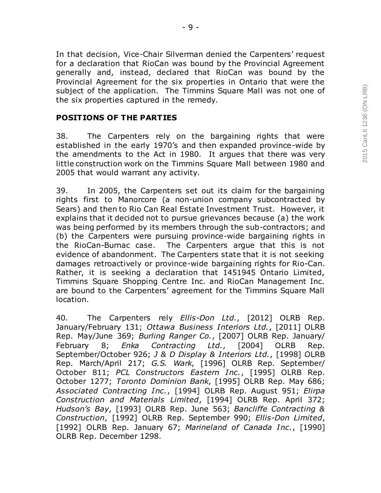In that decision, Vice-Chair Silverman denied the Carpenters' request for a declaration that RioCan was bound by the Provincial Agreement generally and, instead, declared that RioCan was bound by the Provincial Agreement for the six properties in Ontario that were the subject of the application. The Timmins Square Mall was not one of the six properties captured in the remedy.

#### **POSITIONS OF THE PARTIES**

38. The Carpenters rely on the bargaining rights that were established in the early 1970's and then expanded province-wide by the amendments to the Act in 1980. It argues that there was very little construction work on the Timmins Square Mall between 1980 and 2005 that would warrant any activity.

39. In 2005, the Carpenters set out its claim for the bargaining rights first to Manorcore (a non-union company subcontracted by Sears) and then to Rio Can Real Estate Investment Trust. However, it explains that it decided not to pursue grievances because (a) the work was being performed by its members through the sub-contractors; and (b) the Carpenters were pursuing province-wide bargaining rights in the RioCan-Burnac case. The Carpenters argue that this is not evidence of abandonment. The Carpenters state that it is not seeking damages retroactively or province-wide bargaining rights for Rio-Can. Rather, it is seeking a declaration that 1451945 Ontario Limited, Timmins Square Shopping Centre Inc. and RioCan Management Inc. are bound to the Carpenters' agreement for the Timmins Square Mall location.

40. The Carpenters rely *Ellis-Don Ltd.*, [2012] OLRB Rep. January/February 131; *Ottawa Business Interiors Ltd.*, [2011] OLRB Rep. May/June 369; *Burling Ranger Co.*, [2007] OLRB Rep. January/ February 8; *Enka Contracting Ltd.*, [2004] OLRB Rep. September/October 926; *J & D Display & Interiors Ltd.*, [1998] OLRB Rep. March/April 217; *G.S. Wark*, [1996] OLRB Rep. September/ October 811; *PCL Constructors Eastern Inc.*, [1995] OLRB Rep. October 1277; *Toronto Dominion Bank*, [1995] OLRB Rep. May 686; *Associated Contracting Inc.*, [1994] OLRB Rep. August 951; *Elirpa Construction and Materials Limited*, [1994] OLRB Rep. April 372; *Hudson's Bay*, [1993] OLRB Rep. June 563; *Bancliffe Contracting & Construction*, [1992] OLRB Rep. September 990; *Ellis-Don Limited*, [1992] OLRB Rep. January 67; *Marineland of Canada Inc.*, [1990] OLRB Rep. December 1298.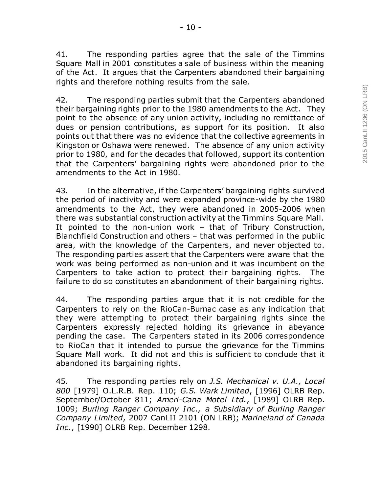41. The responding parties agree that the sale of the Timmins Square Mall in 2001 constitutes a sale of business within the meaning of the Act. It argues that the Carpenters abandoned their bargaining rights and therefore nothing results from the sale.

- 10 -

42. The responding parties submit that the Carpenters abandoned their bargaining rights prior to the 1980 amendments to the Act. They point to the absence of any union activity, including no remittance of dues or pension contributions, as support for its position. It also points out that there was no evidence that the collective agreements in Kingston or Oshawa were renewed. The absence of any union activity prior to 1980, and for the decades that followed, support its contention that the Carpenters' bargaining rights were abandoned prior to the amendments to the Act in 1980.

43. In the alternative, if the Carpenters' bargaining rights survived the period of inactivity and were expanded province-wide by the 1980 amendments to the Act, they were abandoned in 2005-2006 when there was substantial construction activity at the Timmins Square Mall. It pointed to the non-union work – that of Tribury Construction, Blanchfield Construction and others – that was performed in the public area, with the knowledge of the Carpenters, and never objected to. The responding parties assert that the Carpenters were aware that the work was being performed as non-union and it was incumbent on the Carpenters to take action to protect their bargaining rights. The failure to do so constitutes an abandonment of their bargaining rights.

44. The responding parties argue that it is not credible for the Carpenters to rely on the RioCan-Burnac case as any indication that they were attempting to protect their bargaining rights since the Carpenters expressly rejected holding its grievance in abeyance pending the case. The Carpenters stated in its 2006 correspondence to RioCan that it intended to pursue the grievance for the Timmins Square Mall work. It did not and this is sufficient to conclude that it abandoned its bargaining rights.

45. The responding parties rely on *J.S. Mechanical v. U.A., Local 800* [1979] O.L.R.B. Rep. 110; *G.S. Wark Limited*, [1996] OLRB Rep. September/October 811; *Ameri-Cana Motel Ltd.*, [1989] OLRB Rep. 1009; *Burling Ranger Company Inc., a Subsidiary of Burling Ranger Company Limited*, 2007 CanLII 2101 (ON LRB); *Marineland of Canada Inc.*, [1990] OLRB Rep. December 1298.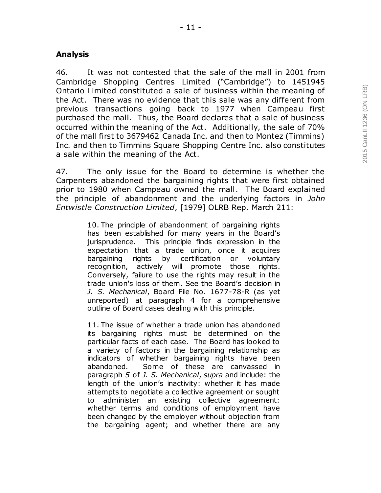## **Analysis**

46. It was not contested that the sale of the mall in 2001 from Cambridge Shopping Centres Limited ("Cambridge") to 1451945 Ontario Limited constituted a sale of business within the meaning of the Act. There was no evidence that this sale was any different from previous transactions going back to 1977 when Campeau first purchased the mall. Thus, the Board declares that a sale of business occurred within the meaning of the Act. Additionally, the sale of 70% of the mall first to 3679462 Canada Inc. and then to Montez (Timmins) Inc. and then to Timmins Square Shopping Centre Inc. also constitutes a sale within the meaning of the Act.

47. The only issue for the Board to determine is whether the Carpenters abandoned the bargaining rights that were first obtained prior to 1980 when Campeau owned the mall. The Board explained the principle of abandonment and the underlying factors in *John Entwistle Construction Limited*, [1979] OLRB Rep. March 211:

> 10. The principle of abandonment of bargaining rights has been established for many years in the Board's jurisprudence. This principle finds expression in the expectation that a trade union, once it acquires bargaining rights by certification or voluntary recognition, actively will promote those rights. Conversely, failure to use the rights may result in the trade union's loss of them. See the Board's decision in *J. S. Mechanical*, Board File No. 1677-78-R (as yet unreported) at paragraph 4 for a comprehensive outline of Board cases dealing with this principle.

> 11. The issue of whether a trade union has abandoned its bargaining rights must be determined on the particular facts of each case. The Board has looked to a variety of factors in the bargaining relationship as indicators of whether bargaining rights have been abandoned. Some of these are canvassed in paragraph *5* of *J. S. Mechanical*, *supra* and include: the length of the union's inactivity: whether it has made attempts to negotiate a collective agreement or sought to administer an existing collective agreement: whether terms and conditions of employment have been changed by the employer without objection from the bargaining agent; and whether there are any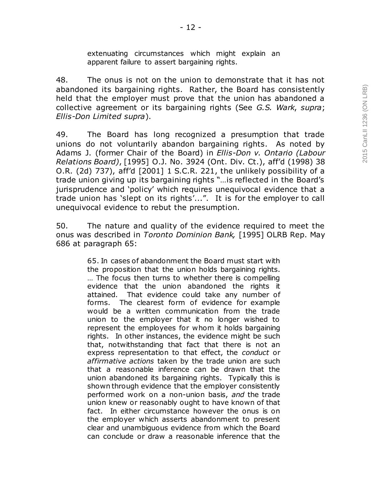extenuating circumstances which might explain an apparent failure to assert bargaining rights.

48. The onus is not on the union to demonstrate that it has not abandoned its bargaining rights. Rather, the Board has consistently held that the employer must prove that the union has abandoned a collective agreement or its bargaining rights (See *G.S. Wark*, *supra*; *Ellis-Don Limited supra*).

49. The Board has long recognized a presumption that trade unions do not voluntarily abandon bargaining rights. As noted by Adams J. (former Chair of the Board) in *Ellis-Don v. Ontario (Labour Relations Board)*, [1995] O.J. No. 3924 (Ont. Div. Ct.), aff'd (1998) 38 O.R. (2d) 737), aff'd [2001] 1 S.C.R. 221, the unlikely possibility of a trade union giving up its bargaining rights "…is reflected in the Board's jurisprudence and 'policy' which requires unequivocal evidence that a trade union has 'slept on its rights'...". It is for the employer to call unequivocal evidence to rebut the presumption.

50. The nature and quality of the evidence required to meet the onus was described in *Toronto Dominion Bank,* [1995] OLRB Rep. May 686 at paragraph 65:

> 65. In cases of abandonment the Board must start with the proposition that the union holds bargaining rights. … The focus then turns to whether there is compelling evidence that the union abandoned the rights it attained. That evidence could take any number of forms. The clearest form of evidence for example would be a written communication from the trade union to the employer that it no longer wished to represent the employees for whom it holds bargaining rights. In other instances, the evidence might be such that, notwithstanding that fact that there is not an express representation to that effect, the *conduct* or *affirmative actions* taken by the trade union are such that a reasonable inference can be drawn that the union abandoned its bargaining rights. Typically this is shown through evidence that the employer consistently performed work on a non-union basis, *and* the trade union knew or reasonably ought to have known of that fact. In either circumstance however the onus is on the employer which asserts abandonment to present clear and unambiguous evidence from which the Board can conclude or draw a reasonable inference that the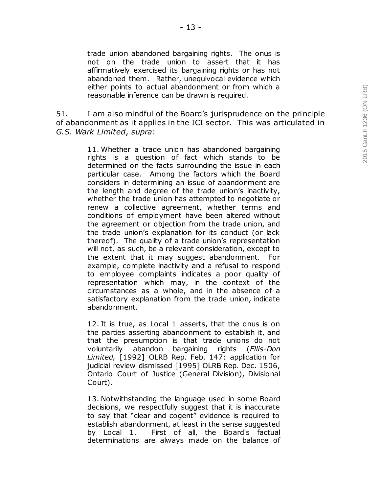trade union abandoned bargaining rights. The onus is not on the trade union to assert that it has affirmatively exercised its bargaining rights or has not abandoned them. Rather, unequivocal evidence which either points to actual abandonment or from which a reasonable inference can be drawn is required.

51. I am also mindful of the Board's jurisprudence on the principle of abandonment as it applies in the ICI sector. This was articulated in *G.S. Wark Limited*, *supra*:

> 11. Whether a trade union has abandoned bargaining rights is a question of fact which stands to be determined on the facts surrounding the issue in each particular case. Among the factors which the Board considers in determining an issue of abandonment are the length and degree of the trade union's inactivity, whether the trade union has attempted to negotiate or renew a collective agreement, whether terms and conditions of employment have been altered without the agreement or objection from the trade union, and the trade union's explanation for its conduct (or lack thereof). The quality of a trade union's representation will not, as such, be a relevant consideration, except to the extent that it may suggest abandonment. For example, complete inactivity and a refusal to respond to employee complaints indicates a poor quality of representation which may, in the context of the circumstances as a whole, and in the absence of a satisfactory explanation from the trade union, indicate abandonment.

> 12. It is true, as Local 1 asserts, that the onus is on the parties asserting abandonment to establish it, and that the presumption is that trade unions do not voluntarily abandon bargaining rights (*Ellis-Don Limited,* [1992] OLRB Rep. Feb. 147: application for judicial review dismissed [1995] OLRB Rep. Dec. 1506, Ontario Court of Justice (General Division), Divisional Court).

> 13. Notwithstanding the language used in some Board decisions, we respectfully suggest that it is inaccurate to say that "clear and cogent" evidence is required to establish abandonment, at least in the sense suggested by Local 1. First of all, the Board's factual determinations are always made on the balance of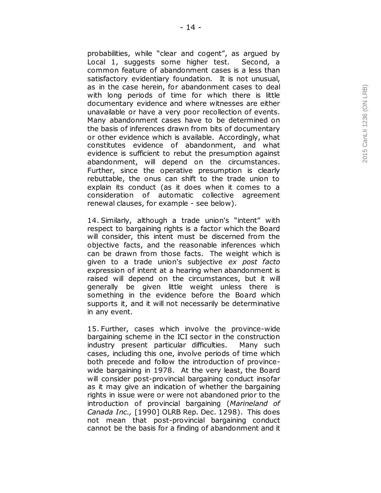probabilities, while "clear and cogent", as argued by Local 1, suggests some higher test. Second, a common feature of abandonment cases is a less than satisfactory evidentiary foundation. It is not unusual, as in the case herein, for abandonment cases to deal with long periods of time for which there is little documentary evidence and where witnesses are either unavailable or have a very poor recollection of events. Many abandonment cases have to be determined on the basis of inferences drawn from bits of documentary or other evidence which is available. Accordingly, what constitutes evidence of abandonment, and what evidence is sufficient to rebut the presumption against abandonment, will depend on the circumstances. Further, since the operative presumption is clearly rebuttable, the onus can shift to the trade union to explain its conduct (as it does when it comes to a consideration of automatic collective agreement renewal clauses, for example - see below).

14. Similarly, although a trade union's "intent" with respect to bargaining rights is a factor which the Board will consider, this intent must be discerned from the objective facts, and the reasonable inferences which can be drawn from those facts. The weight which is given to a trade union's subjective *ex post facto*  expression of intent at a hearing when abandonment is raised will depend on the circumstances, but it will generally be given little weight unless there is something in the evidence before the Board which supports it, and it will not necessarily be determinative in any event.

15. Further, cases which involve the province -wide bargaining scheme in the ICI sector in the construction industry present particular difficulties. Many such cases, including this one, involve periods of time which both precede and follow the introduction of province wide bargaining in 1978. At the very least, the Board will consider post -provincial bargaining conduct insofar as it may give an indication of whether the bargaining rights in issue were or were not abandoned prior to the introduction of provincial bargaining (*Marineland of Canada Inc.,* [1990] OLRB Rep. Dec. 1298). This does not mean that post -provincial bargaining conduct cannot be the basis for a finding of abandonment and it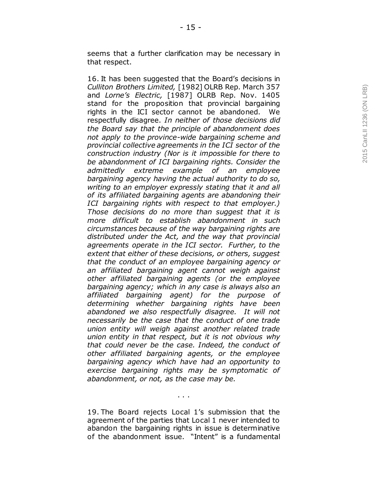seems that a further clarification may be necessary in that respect.

16. It has been suggested that the Board's decisions in *Culliton Brothers Limited,* [1982] OLRB Rep. March 357 and *Lorne's Electric,* [1987] OLRB Rep. Nov. 1405 stand for the proposition that provincial bargaining rights in the ICI sector cannot be abandoned. We respectfully disagree. *In neither of those decisions did the Board say that the principle of abandonment does not apply to the province -wide bargaining scheme and provincial collective agreements in the ICI sector of the construction industry (Nor is it impossible for there to be abandonment of ICI bargaining rights. Consider the admittedly extreme example of an employee bargaining agency having the actual authority to do so, writing to an employer expressly stating that it and all of its affiliated bargaining agents are abandoning their ICI bargaining rights with respect to that employer.) Those decisions do no more than suggest that it is more difficult to establish abandonment in such circumstances because of the way bargaining rights are distributed under the Act, and the way that provincial agreements operate in the ICI sector. Further, to the extent that either of these decisions, or others, suggest that the conduct of an employee bargaining agency or an affiliated bargaining agent cannot weigh against other affiliated bargaining agents (or the employee bargaining agency; which in any case is always also an affiliated bargaining agent) for the purpose of determining whether bargaining rights have been abandoned we also respectfully disagree. It will not necessarily be the case that the conduct of one trade union entity will weigh against another related trade union entity in that respect, but it is not obvious why that could never be the case. Indeed, the conduct of other affiliated bargaining agents, or the employee bargaining agency which have had an opportunity to exercise bargaining rights may be symptomatic of abandonment, or not, as the case may be.*

19. The Board rejects Local 1's submission that the agreement of the parties that Local 1 never intended to abandon the bargaining rights in issue is determinative of the abandonment issue. "Intent" is a fundamental

. . .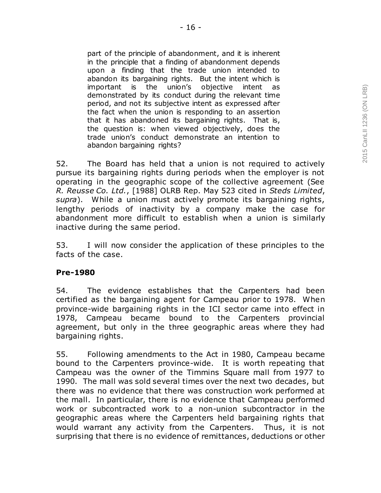part of the principle of abandonment, and it is inherent in the principle that a finding of abandonment depends upon a finding that the trade union intended to abandon its bargaining rights. But the intent which is important is the union's objective intent as demonstrated by its conduct during the relevant time period, and not its subjective intent as expressed after the fact when the union is responding to an assertion that it has abandoned its bargaining rights. That is, the question is: when viewed objectively, does the trade union's conduct demonstrate an intention to abandon bargaining rights?

52. The Board has held that a union is not required to actively pursue its bargaining rights during periods when the employer is not operating in the geographic scope of the collective agreement (See *R. Reusse Co. Ltd.*, [1988] OLRB Rep. May 523 cited in *Steds Limited*, *supra*). While a union must actively promote its bargaining rights, lengthy periods of inactivity by a company make the case for abandonment more difficult to establish when a union is similarly inactive during the same period.

53. I will now consider the application of these principles to the facts of the case.

### **Pre-1980**

54. The evidence establishes that the Carpenters had been certified as the bargaining agent for Campeau prior to 1978. When province-wide bargaining rights in the ICI sector came into effect in 1978, Campeau became bound to the Carpenters provincial agreement, but only in the three geographic areas where they had bargaining rights.

55. Following amendments to the Act in 1980, Campeau became bound to the Carpenters province-wide. It is worth repeating that Campeau was the owner of the Timmins Square mall from 1977 to 1990. The mall was sold several times over the next two decades, but there was no evidence that there was construction work performed at the mall. In particular, there is no evidence that Campeau performed work or subcontracted work to a non-union subcontractor in the geographic areas where the Carpenters held bargaining rights that would warrant any activity from the Carpenters. Thus, it is not surprising that there is no evidence of remittances, deductions or other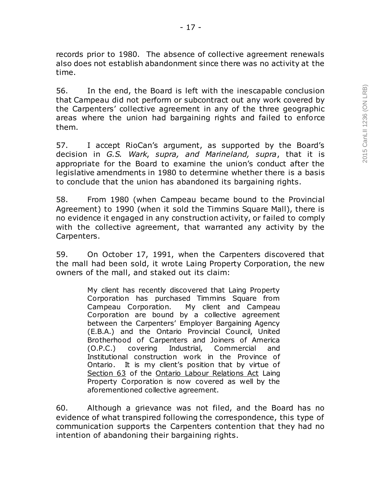records prior to 1980. The absence of collective agreement renewals also does not establish abandonment since there was no activity at the time.

56. In the end, the Board is left with the inescapable conclusion that Campeau did not perform or subcontract out any work covered by the Carpenters' collective agreement in any of the three geographic areas where the union had bargaining rights and failed to enforce them.

57. I accept RioCan's argument, as supported by the Board's decision in *G.S. Wark*, *supra, and Marineland, supra*, that it is appropriate for the Board to examine the union's conduct after the legislative amendments in 1980 to determine whether there is a basis to conclude that the union has abandoned its bargaining rights.

58. From 1980 (when Campeau became bound to the Provincial Agreement) to 1990 (when it sold the Timmins Square Mall), there is no evidence it engaged in any construction activity, or failed to comply with the collective agreement, that warranted any activity by the Carpenters.

59. On October 17, 1991, when the Carpenters discovered that the mall had been sold, it wrote Laing Property Corporation, the new owners of the mall, and staked out its claim:

> My client has recently discovered that Laing Property Corporation has purchased Timmins Square from Campeau Corporation. My client and Campeau Corporation are bound by a collective agreement between the Carpenters' Employer Bargaining Agency (E.B.A.) and the Ontario Provincial Council, United Brotherhood of Carpenters and Joiners of America (O.P.C.) covering Industrial, Commercial and Institutional construction work in the Province of Ontario. It is my client's position that by virtue of Section 63 of the Ontario Labour Relations Act Laing Property Corporation is now covered as well by the aforementioned collective agreement.

60. Although a grievance was not filed, and the Board has no evidence of what transpired following the correspondence, this type of communication supports the Carpenters contention that they had no intention of abandoning their bargaining rights.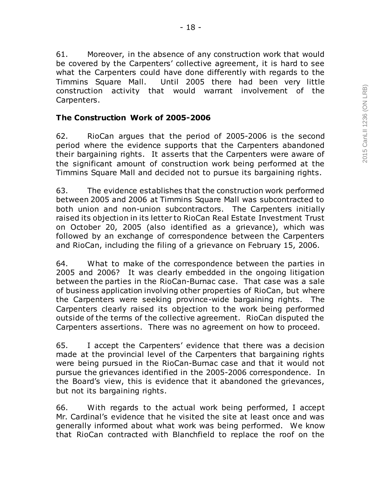61. Moreover, in the absence of any construction work that would be covered by the Carpenters' collective agreement, it is hard to see what the Carpenters could have done differently with regards to the Timmins Square Mall. Until 2005 there had been very little construction activity that would warrant involvement of the Carpenters.

### **The Construction Work of 2005-2006**

62. RioCan argues that the period of 2005-2006 is the second period where the evidence supports that the Carpenters abandoned their bargaining rights. It asserts that the Carpenters were aware of the significant amount of construction work being performed at the Timmins Square Mall and decided not to pursue its bargaining rights.

63. The evidence establishes that the construction work performed between 2005 and 2006 at Timmins Square Mall was subcontracted to both union and non-union subcontractors. The Carpenters initially raised its objection in its letter to RioCan Real Estate Investment Trust on October 20, 2005 (also identified as a grievance), which was followed by an exchange of correspondence between the Carpenters and RioCan, including the filing of a grievance on February 15, 2006.

64. What to make of the correspondence between the parties in 2005 and 2006? It was clearly embedded in the ongoing litigation between the parties in the RioCan-Burnac case. That case was a sale of business application involving other properties of RioCan, but where the Carpenters were seeking province-wide bargaining rights. The Carpenters clearly raised its objection to the work being performed outside of the terms of the collective agreement. RioCan disputed the Carpenters assertions. There was no agreement on how to proceed.

65. I accept the Carpenters' evidence that there was a decision made at the provincial level of the Carpenters that bargaining rights were being pursued in the RioCan-Burnac case and that it would not pursue the grievances identified in the 2005-2006 correspondence. In the Board's view, this is evidence that it abandoned the grievances, but not its bargaining rights.

66. With regards to the actual work being performed, I accept Mr. Cardinal's evidence that he visited the site at least once and was generally informed about what work was being performed. We know that RioCan contracted with Blanchfield to replace the roof on the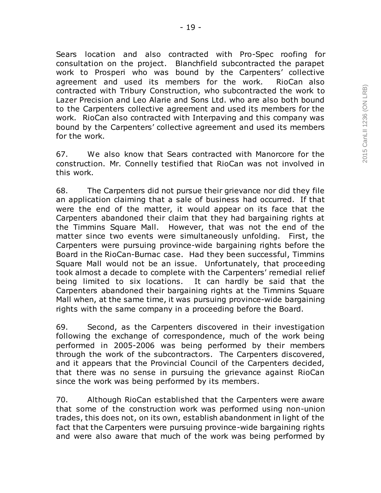Sears location and also contracted with Pro-Spec roofing for consultation on the project. Blanchfield subcontracted the parapet work to Prosperi who was bound by the Carpenters' collective agreement and used its members for the work. RioCan also contracted with Tribury Construction, who subcontracted the work to Lazer Precision and Leo Alarie and Sons Ltd. who are also both bound to the Carpenters collective agreement and used its members for the work. RioCan also contracted with Interpaving and this company was bound by the Carpenters' collective agreement and used its members for the work.

67. We also know that Sears contracted with Manorcore for the construction. Mr. Connelly testified that RioCan was not involved in this work.

68. The Carpenters did not pursue their grievance nor did they file an application claiming that a sale of business had occurred. If that were the end of the matter, it would appear on its face that the Carpenters abandoned their claim that they had bargaining rights at the Timmins Square Mall. However, that was not the end of the matter since two events were simultaneously unfolding. First, the Carpenters were pursuing province-wide bargaining rights before the Board in the RioCan-Burnac case. Had they been successful, Timmins Square Mall would not be an issue. Unfortunately, that proceeding took almost a decade to complete with the Carpenters' remedial relief being limited to six locations. It can hardly be said that the Carpenters abandoned their bargaining rights at the Timmins Square Mall when, at the same time, it was pursuing province-wide bargaining rights with the same company in a proceeding before the Board.

69. Second, as the Carpenters discovered in their investigation following the exchange of correspondence, much of the work being performed in 2005-2006 was being performed by their members through the work of the subcontractors. The Carpenters discovered, and it appears that the Provincial Council of the Carpenters decided, that there was no sense in pursuing the grievance against RioCan since the work was being performed by its members.

70. Although RioCan established that the Carpenters were aware that some of the construction work was performed using non-union trades, this does not, on its own, establish abandonment in light of the fact that the Carpenters were pursuing province-wide bargaining rights and were also aware that much of the work was being performed by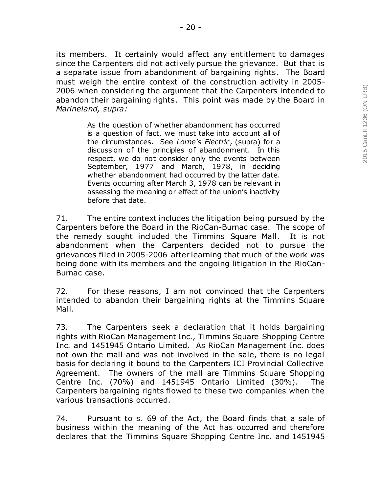its members. It certainly would affect any entitlement to damages since the Carpenters did not actively pursue the grievance. But that is a separate issue from abandonment of bargaining rights. The Board must weigh the entire context of the construction activity in 2005- 2006 when considering the argument that the Carpenters intended to abandon their bargaining rights. This point was made by the Board in *Marineland, supra:*

> As the question of whether abandonment has occurred is a question of fact, we must take into account all of the circumstances. See *Lorne's Electric*, (supra) for a discussion of the principles of abandonment. In this respect, we do not consider only the events between September, 1977 and March, 1978, in deciding whether abandonment had occurred by the latter date. Events occurring after March 3, 1978 can be relevant in assessing the meaning or effect of the union's inactivity before that date.

71. The entire context includes the litigation being pursued by the Carpenters before the Board in the RioCan-Burnac case. The scope of the remedy sought included the Timmins Square Mall. It is not abandonment when the Carpenters decided not to pursue the grievances filed in 2005-2006 after learning that much of the work was being done with its members and the ongoing litigation in the RioCan-Burnac case.

72. For these reasons, I am not convinced that the Carpenters intended to abandon their bargaining rights at the Timmins Square Mall.

73. The Carpenters seek a declaration that it holds bargaining rights with RioCan Management Inc., Timmins Square Shopping Centre Inc. and 1451945 Ontario Limited. As RioCan Management Inc. does not own the mall and was not involved in the sale, there is no legal basis for declaring it bound to the Carpenters ICI Provincial Collective Agreement. The owners of the mall are Timmins Square Shopping Centre Inc. (70%) and 1451945 Ontario Limited (30%). The Carpenters bargaining rights flowed to these two companies when the various transactions occurred.

74. Pursuant to s. 69 of the Act, the Board finds that a sale of business within the meaning of the Act has occurred and therefore declares that the Timmins Square Shopping Centre Inc. and 1451945